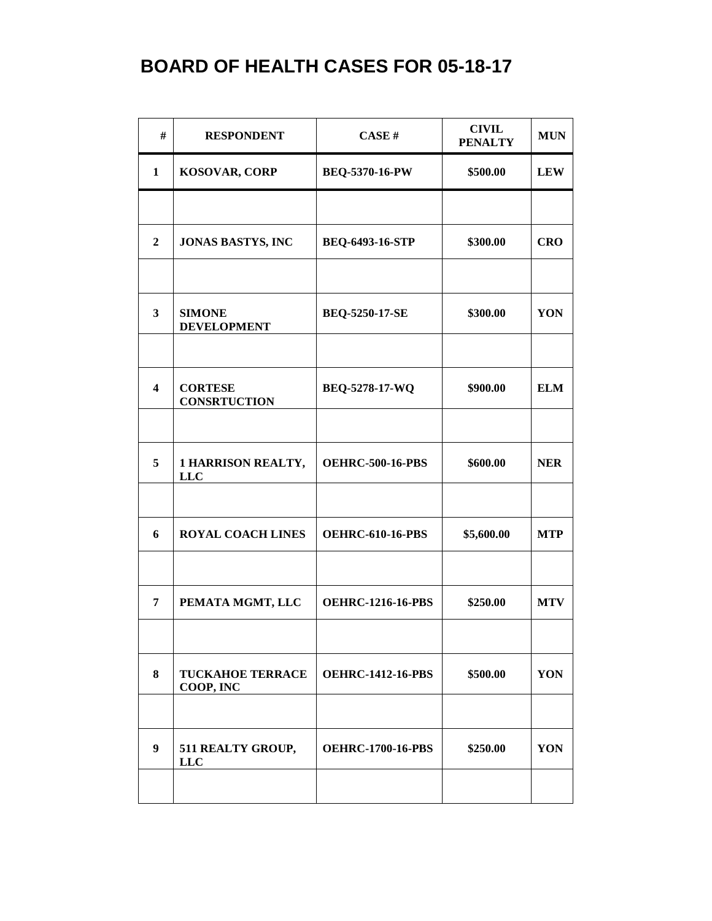| #                       | <b>RESPONDENT</b>                       | CASE#                    | <b>CIVIL</b><br><b>PENALTY</b> | <b>MUN</b> |
|-------------------------|-----------------------------------------|--------------------------|--------------------------------|------------|
| 1                       | <b>KOSOVAR, CORP</b>                    | <b>BEQ-5370-16-PW</b>    | \$500.00                       | <b>LEW</b> |
|                         |                                         |                          |                                |            |
| $\boldsymbol{2}$        | <b>JONAS BASTYS, INC</b>                | <b>BEQ-6493-16-STP</b>   | \$300.00                       | <b>CRO</b> |
|                         |                                         |                          |                                |            |
| $\mathbf{3}$            | <b>SIMONE</b><br><b>DEVELOPMENT</b>     | <b>BEQ-5250-17-SE</b>    | \$300.00                       | YON        |
|                         |                                         |                          |                                |            |
| $\overline{\mathbf{4}}$ | <b>CORTESE</b><br><b>CONSRTUCTION</b>   | BEQ-5278-17-WQ           | \$900.00                       | <b>ELM</b> |
|                         |                                         |                          |                                |            |
| 5                       | <b>1 HARRISON REALTY,</b><br><b>LLC</b> | <b>OEHRC-500-16-PBS</b>  | \$600.00                       | <b>NER</b> |
|                         |                                         |                          |                                |            |
| 6                       | <b>ROYAL COACH LINES</b>                | <b>OEHRC-610-16-PBS</b>  | \$5,600.00                     | <b>MTP</b> |
| 7                       | PEMATA MGMT, LLC                        | <b>OEHRC-1216-16-PBS</b> | \$250.00                       | <b>MTV</b> |
|                         |                                         |                          |                                |            |
| 8                       | <b>TUCKAHOE TERRACE</b><br>COOP, INC    | <b>OEHRC-1412-16-PBS</b> | \$500.00                       | YON        |
| $\boldsymbol{9}$        | 511 REALTY GROUP,<br><b>LLC</b>         | <b>OEHRC-1700-16-PBS</b> | \$250.00                       | YON        |
|                         |                                         |                          |                                |            |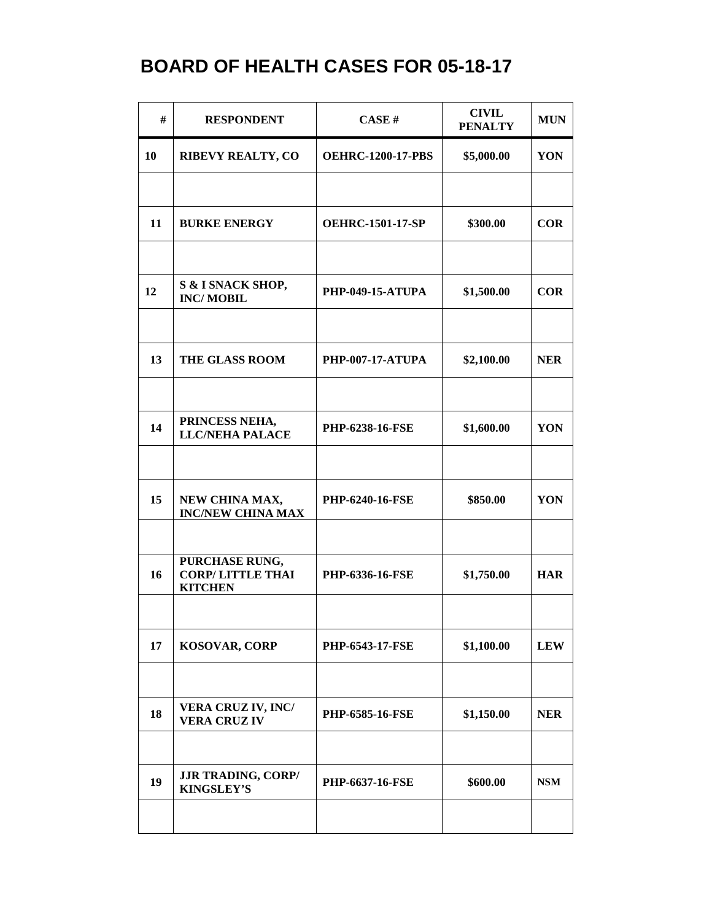| #  | <b>RESPONDENT</b>                                           | CASE#                    | <b>CIVIL</b><br><b>PENALTY</b> | <b>MUN</b> |
|----|-------------------------------------------------------------|--------------------------|--------------------------------|------------|
| 10 | <b>RIBEVY REALTY, CO</b>                                    | <b>OEHRC-1200-17-PBS</b> | \$5,000.00                     | YON        |
|    |                                                             |                          |                                |            |
| 11 | <b>BURKE ENERGY</b>                                         | <b>OEHRC-1501-17-SP</b>  | \$300.00                       | <b>COR</b> |
|    |                                                             |                          |                                |            |
| 12 | S & I SNACK SHOP,<br><b>INC/MOBIL</b>                       | <b>PHP-049-15-ATUPA</b>  | \$1,500.00                     | <b>COR</b> |
|    |                                                             |                          |                                |            |
| 13 | <b>THE GLASS ROOM</b>                                       | <b>PHP-007-17-ATUPA</b>  | \$2,100.00                     | <b>NER</b> |
|    |                                                             |                          |                                |            |
| 14 | PRINCESS NEHA,<br><b>LLC/NEHA PALACE</b>                    | <b>PHP-6238-16-FSE</b>   | \$1,600.00                     | YON        |
|    |                                                             |                          |                                |            |
| 15 | NEW CHINA MAX,<br><b>INC/NEW CHINA MAX</b>                  | PHP-6240-16-FSE          | \$850.00                       | YON        |
| 16 | PURCHASE RUNG,<br><b>CORP/LITTLE THAI</b><br><b>KITCHEN</b> | <b>PHP-6336-16-FSE</b>   | \$1,750.00                     | <b>HAR</b> |
| 17 | <b>KOSOVAR, CORP</b>                                        | <b>PHP-6543-17-FSE</b>   | \$1,100.00                     | <b>LEW</b> |
| 18 | <b>VERA CRUZ IV, INC/</b><br><b>VERA CRUZIV</b>             | <b>PHP-6585-16-FSE</b>   | \$1,150.00                     | <b>NER</b> |
| 19 | <b>JJR TRADING, CORP/</b><br><b>KINGSLEY'S</b>              | <b>PHP-6637-16-FSE</b>   | \$600.00                       | <b>NSM</b> |
|    |                                                             |                          |                                |            |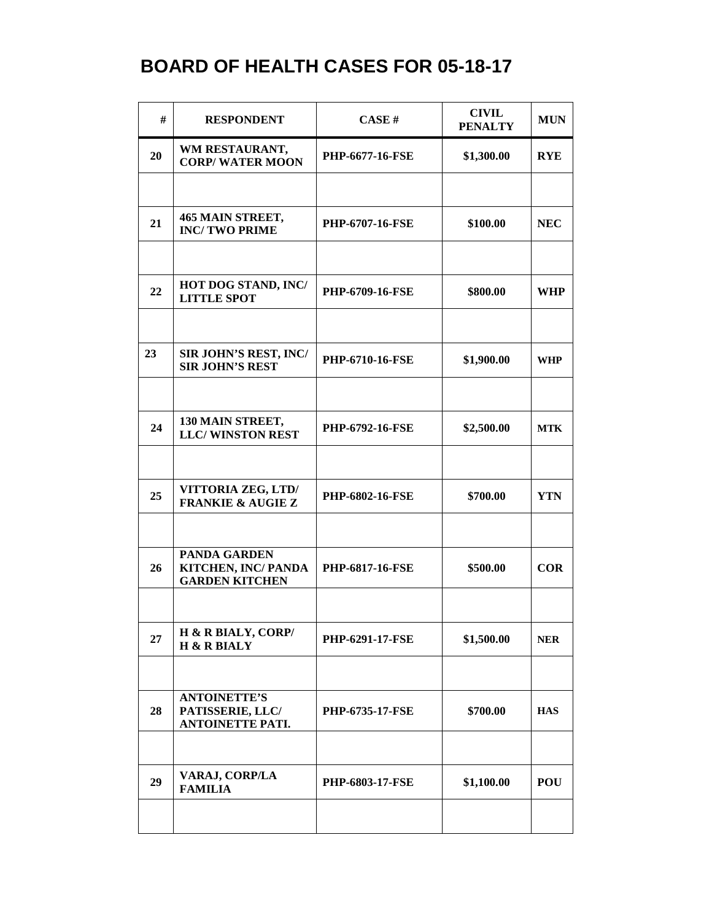| #  | <b>RESPONDENT</b>                                                   | CASE H                 | <b>CIVIL</b><br><b>PENALTY</b> | <b>MUN</b> |
|----|---------------------------------------------------------------------|------------------------|--------------------------------|------------|
| 20 | WM RESTAURANT,<br><b>CORP/WATER MOON</b>                            | <b>PHP-6677-16-FSE</b> | \$1,300.00                     | <b>RYE</b> |
|    |                                                                     |                        |                                |            |
| 21 | 465 MAIN STREET,<br><b>INC/TWO PRIME</b>                            | <b>PHP-6707-16-FSE</b> | \$100.00                       | <b>NEC</b> |
|    |                                                                     |                        |                                |            |
| 22 | HOT DOG STAND, INC/<br><b>LITTLE SPOT</b>                           | <b>PHP-6709-16-FSE</b> | \$800.00                       | <b>WHP</b> |
|    |                                                                     |                        |                                |            |
| 23 | SIR JOHN'S REST, INC/<br><b>SIR JOHN'S REST</b>                     | <b>PHP-6710-16-FSE</b> | \$1,900.00                     | <b>WHP</b> |
|    |                                                                     |                        |                                |            |
| 24 | 130 MAIN STREET,<br><b>LLC/WINSTON REST</b>                         | PHP-6792-16-FSE        | \$2,500.00                     | <b>MTK</b> |
|    |                                                                     |                        |                                |            |
| 25 | VITTORIA ZEG, LTD/<br><b>FRANKIE &amp; AUGIE Z</b>                  | <b>PHP-6802-16-FSE</b> | \$700.00                       | <b>YTN</b> |
|    |                                                                     |                        |                                |            |
| 26 | <b>PANDA GARDEN</b><br>KITCHEN, INC/ PANDA<br><b>GARDEN KITCHEN</b> | <b>PHP-6817-16-FSE</b> | \$500.00                       | <b>COR</b> |
|    |                                                                     |                        |                                |            |
| 27 | H & R BIALY, CORP/<br><b>H &amp; R BIALY</b>                        | <b>PHP-6291-17-FSE</b> | \$1,500.00                     | <b>NER</b> |
|    |                                                                     |                        |                                |            |
| 28 | <b>ANTOINETTE'S</b><br>PATISSERIE, LLC/<br><b>ANTOINETTE PATI.</b>  | <b>PHP-6735-17-FSE</b> | \$700.00                       | <b>HAS</b> |
|    |                                                                     |                        |                                |            |
| 29 | VARAJ, CORP/LA<br><b>FAMILIA</b>                                    | <b>PHP-6803-17-FSE</b> | \$1,100.00                     | <b>POU</b> |
|    |                                                                     |                        |                                |            |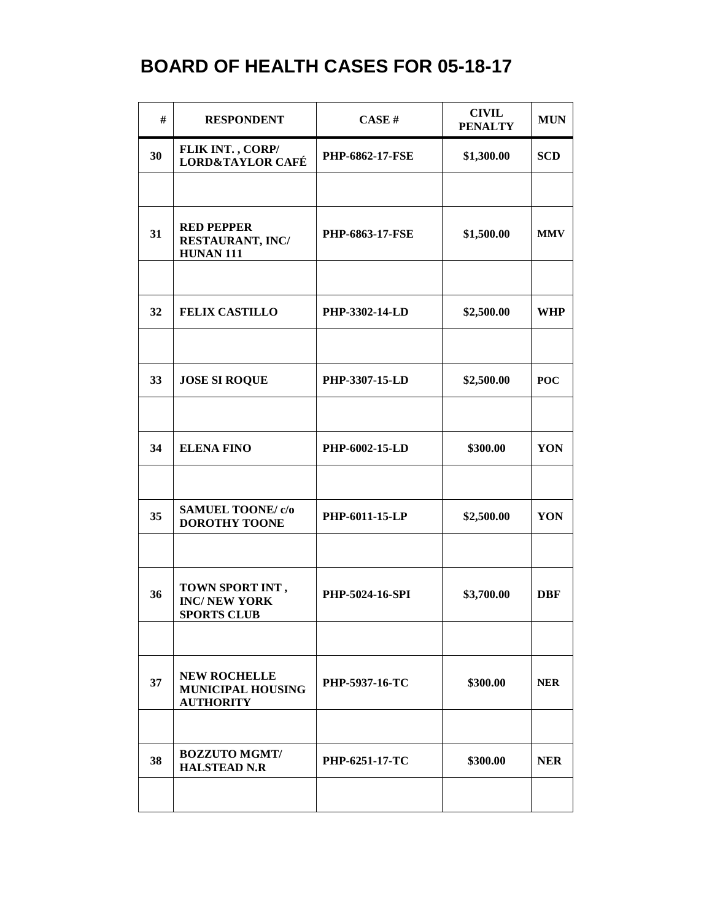| #  | <b>RESPONDENT</b>                                                   | CASE H                 | <b>CIVIL</b><br><b>PENALTY</b> | <b>MUN</b> |
|----|---------------------------------------------------------------------|------------------------|--------------------------------|------------|
| 30 | FLIK INT., CORP/<br><b>LORD&amp;TAYLOR CAFÉ</b>                     | <b>PHP-6862-17-FSE</b> | \$1,300.00                     | <b>SCD</b> |
|    |                                                                     |                        |                                |            |
| 31 | <b>RED PEPPER</b><br>RESTAURANT, INC/<br><b>HUNAN 111</b>           | <b>PHP-6863-17-FSE</b> | \$1,500.00                     | <b>MMV</b> |
|    |                                                                     |                        |                                |            |
| 32 | <b>FELIX CASTILLO</b>                                               | PHP-3302-14-LD         | \$2,500.00                     | <b>WHP</b> |
|    |                                                                     |                        |                                |            |
| 33 | <b>JOSE SI ROQUE</b>                                                | PHP-3307-15-LD         | \$2,500.00                     | <b>POC</b> |
|    |                                                                     |                        |                                |            |
| 34 | <b>ELENA FINO</b>                                                   | PHP-6002-15-LD         | \$300.00                       | YON        |
|    |                                                                     |                        |                                |            |
| 35 | <b>SAMUEL TOONE/ c/o</b><br><b>DOROTHY TOONE</b>                    | PHP-6011-15-LP         | \$2,500.00                     | YON        |
|    |                                                                     |                        |                                |            |
| 36 | TOWN SPORT INT,<br><b>INC/NEW YORK</b><br><b>SPORTS CLUB</b>        | PHP-5024-16-SPI        | \$3,700.00                     | <b>DBF</b> |
|    |                                                                     |                        |                                |            |
| 37 | <b>NEW ROCHELLE</b><br><b>MUNICIPAL HOUSING</b><br><b>AUTHORITY</b> | PHP-5937-16-TC         | \$300.00                       | <b>NER</b> |
|    |                                                                     |                        |                                |            |
| 38 | <b>BOZZUTO MGMT/</b><br><b>HALSTEAD N.R</b>                         | <b>PHP-6251-17-TC</b>  | \$300.00                       | <b>NER</b> |
|    |                                                                     |                        |                                |            |